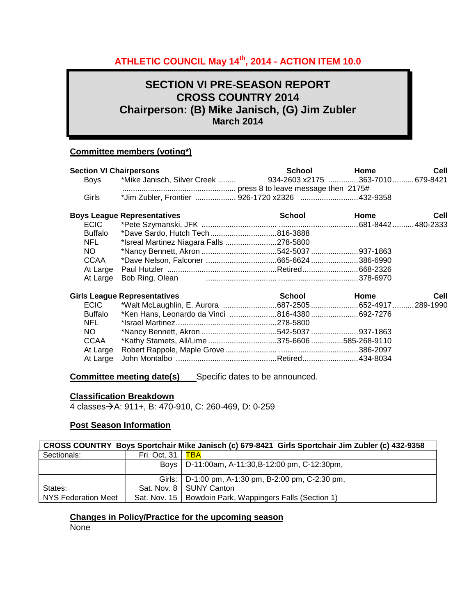# **ATHLETIC COUNCIL May 14th, 2014 - ACTION ITEM 10.0**

# **SECTION VI PRE-SEASON REPORT CROSS COUNTRY 2014 Chairperson: (B) Mike Janisch, (G) Jim Zubler March 2014**

# **Committee members (voting\*)**

| <b>Section VI Chairpersons</b> |                                                               | School               | Home | <b>Cell</b> |
|--------------------------------|---------------------------------------------------------------|----------------------|------|-------------|
| Boys                           | *Mike Janisch, Silver Creek  934-2603 x2175 363-7010 679-8421 |                      |      |             |
| Girls                          | *Jim Zubler, Frontier  926-1720 x2326 432-9358                |                      |      |             |
|                                | <b>Boys League Representatives</b>                            | School               | Home | Cell        |
| <b>ECIC</b>                    |                                                               |                      |      |             |
| Buffalo                        | *Dave Sardo, Hutch Tech816-3888                               |                      |      |             |
| NFL.                           | *Isreal Martinez Niagara Falls 278-5800                       |                      |      |             |
| NO.                            | *Nancy Bennett, Akron 542-5037 937-1863                       |                      |      |             |
| CCAA                           |                                                               |                      |      |             |
| At Large                       |                                                               |                      |      |             |
| At Large                       |                                                               |                      |      |             |
|                                | <b>Girls League Representatives</b>                           | <b>School School</b> | Home | Cell        |
| <b>ECIC</b>                    | *Walt McLaughlin, E. Aurora 687-2505 652-4917  289-1990       |                      |      |             |
| <b>Buffalo</b>                 | *Ken Hans, Leonardo da Vinci 816-4380 692-7276                |                      |      |             |
| NFL.                           |                                                               |                      |      |             |
| NO.                            | *Nancy Bennett, Akron 542-5037 937-1863                       |                      |      |             |
| CCAA                           | *Kathy Stamets, All/Lime 375-6606 585-268-9110                |                      |      |             |
| At Large                       |                                                               |                      |      |             |
| At Large                       |                                                               |                      |      |             |
|                                |                                                               |                      |      |             |

**Committee meeting date(s)** Specific dates to be announced.

#### **Classification Breakdown**

4 classesA: 911+, B: 470-910, C: 260-469, D: 0-259

### **Post Season Information**

|                     |              | CROSS COUNTRY Boys Sportchair Mike Janisch (c) 679-8421 Girls Sportchair Jim Zubler (c) 432-9358 |
|---------------------|--------------|--------------------------------------------------------------------------------------------------|
| Sectionals:         | Fri. Oct. 31 | <b>TBA</b>                                                                                       |
|                     |              | Boys   D-11:00am, A-11:30, B-12:00 pm, C-12:30pm,                                                |
|                     |              | Girls:   D-1:00 pm, A-1:30 pm, B-2:00 pm, C-2:30 pm,                                             |
| States:             |              | Sat. Nov. 8   SUNY Canton                                                                        |
| NYS Federation Meet |              | Sat. Nov. 15   Bowdoin Park, Wappingers Falls (Section 1)                                        |

# **Changes in Policy/Practice for the upcoming season**

None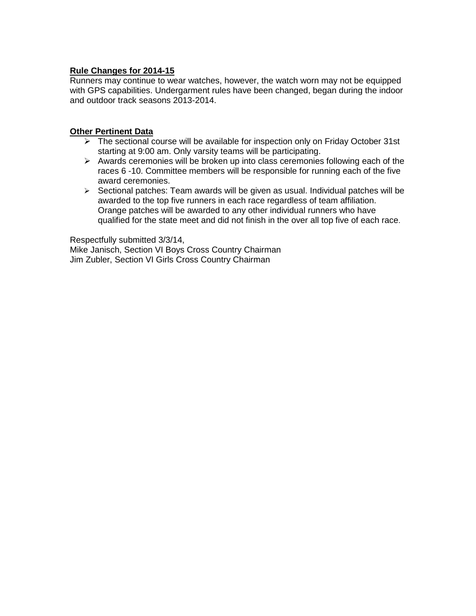# **Rule Changes for 2014-15**

Runners may continue to wear watches, however, the watch worn may not be equipped with GPS capabilities. Undergarment rules have been changed, began during the indoor and outdoor track seasons 2013-2014.

# **Other Pertinent Data**

- $\triangleright$  The sectional course will be available for inspection only on Friday October 31st starting at 9:00 am. Only varsity teams will be participating.
- $\triangleright$  Awards ceremonies will be broken up into class ceremonies following each of the races 6 -10. Committee members will be responsible for running each of the five award ceremonies.
- $\triangleright$  Sectional patches: Team awards will be given as usual. Individual patches will be awarded to the top five runners in each race regardless of team affiliation. Orange patches will be awarded to any other individual runners who have qualified for the state meet and did not finish in the over all top five of each race.

Respectfully submitted 3/3/14, Mike Janisch, Section VI Boys Cross Country Chairman Jim Zubler, Section VI Girls Cross Country Chairman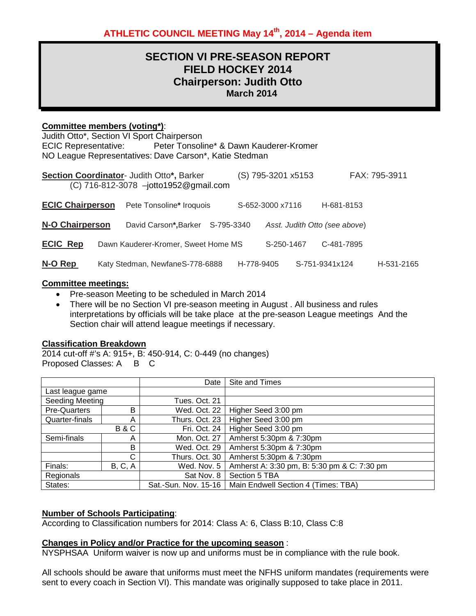# **SECTION VI PRE-SEASON REPORT FIELD HOCKEY 2014 Chairperson: Judith Otto March 2014**

# **Committee members (voting\*)**:

Judith Otto\*, Section VI Sport Chairperson ECIC Representative: Peter Tonsoline\* & Dawn Kauderer-Kromer NO League Representatives: Dave Carson\*, Katie Stedman

| Section Coordinator- Judith Otto*, Barker<br>(C) 716-812-3078 -jotto1952@gmail.com |  |                                     |            | (S) 795-3201 x5153 |  |                               | FAX: 795-3911 |
|------------------------------------------------------------------------------------|--|-------------------------------------|------------|--------------------|--|-------------------------------|---------------|
| <b>ECIC Chairperson</b>                                                            |  | Pete Tonsoline* Iroquois            |            | S-652-3000 x7116   |  | H-681-8153                    |               |
| <b>N-O Chairperson</b>                                                             |  | David Carson*, Barker               | S-795-3340 |                    |  | Asst. Judith Otto (see above) |               |
| <b>ECIC Rep</b>                                                                    |  | Dawn Kauderer-Kromer, Sweet Home MS |            | S-250-1467         |  | C-481-7895                    |               |
| N-O Rep                                                                            |  | Katy Stedman, NewfaneS-778-6888     |            | H-778-9405         |  | S-751-9341x124                | H-531-2165    |

#### **Committee meetings:**

- Pre-season Meeting to be scheduled in March 2014
- There will be no Section VI pre-season meeting in August . All business and rules interpretations by officials will be take place at the pre-season League meetings And the Section chair will attend league meetings if necessary.

# **Classification Breakdown**

2014 cut-off #'s A: 915+, B: 450-914, C: 0-449 (no changes) Proposed Classes: A B C

|                        |         | Date                 | Site and Times                              |
|------------------------|---------|----------------------|---------------------------------------------|
| Last league game       |         |                      |                                             |
| <b>Seeding Meeting</b> |         | Tues. Oct. 21        |                                             |
| Pre-Quarters           | B       | Wed. Oct. 22         | Higher Seed 3:00 pm                         |
| Quarter-finals         | А       | Thurs. Oct. 23       | Higher Seed 3:00 pm                         |
| <b>B&amp;C</b>         |         | Fri. Oct. 24         | Higher Seed 3:00 pm                         |
| Semi-finals            | Α       | Mon. Oct. 27         | Amherst 5:30pm & 7:30pm                     |
|                        | B       | Wed. Oct. 29         | Amherst 5:30pm & 7:30pm                     |
|                        | C       | Thurs. Oct. 30       | Amherst 5:30pm & 7:30pm                     |
| Finals:                | B, C, A | Wed. Nov. 5          | Amherst A: 3:30 pm, B: 5:30 pm & C: 7:30 pm |
| Regionals              |         | Sat Nov. 8           | Section 5 TBA                               |
| States:                |         | Sat.-Sun. Nov. 15-16 | Main Endwell Section 4 (Times: TBA)         |

# **Number of Schools Participating**:

According to Classification numbers for 2014: Class A: 6, Class B:10, Class C:8

# **Changes in Policy and/or Practice for the upcoming season** :

NYSPHSAA Uniform waiver is now up and uniforms must be in compliance with the rule book.

All schools should be aware that uniforms must meet the NFHS uniform mandates (requirements were sent to every coach in Section VI). This mandate was originally supposed to take place in 2011.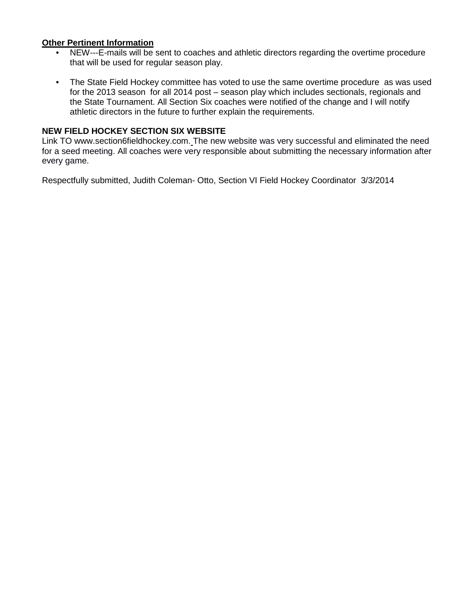# **Other Pertinent Information**

- NEW---E-mails will be sent to coaches and athletic directors regarding the overtime procedure that will be used for regular season play.
- The State Field Hockey committee has voted to use the same overtime procedure as was used for the 2013 season for all 2014 post – season play which includes sectionals, regionals and the State Tournament. All Section Six coaches were notified of the change and I will notify athletic directors in the future to further explain the requirements.

# **NEW FIELD HOCKEY SECTION SIX WEBSITE**

Link TO www.section6fieldhockey.com. The new website was very successful and eliminated the need for a seed meeting. All coaches were very responsible about submitting the necessary information after every game.

Respectfully submitted, Judith Coleman- Otto, Section VI Field Hockey Coordinator 3/3/2014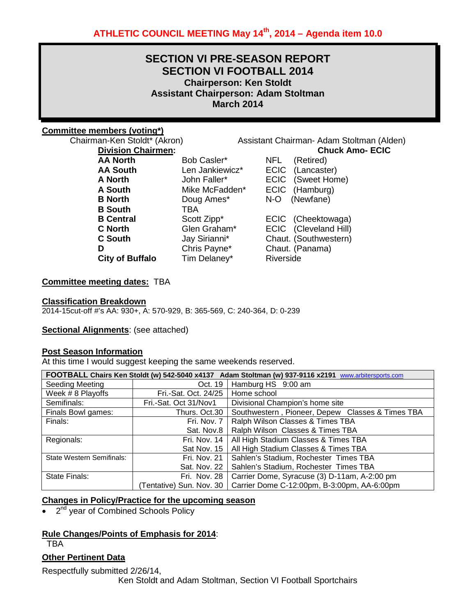# **SECTION VI PRE-SEASON REPORT SECTION VI FOOTBALL 2014 Chairperson: Ken Stoldt Assistant Chairperson: Adam Stoltman March 2014**

### **Committee members (voting\*)**

Chairman-Ken Stoldt<sup>\*</sup> (Akron) Assistant Chairman- Adam Stoltman (Alden)<br>**Division Chairmen:** Chuck Amo- ECIC **Division Chairmen: Chuck Amo- ECIC**

| <b>AA North</b>        | Bob Casler*     | NFL (Retired)         |
|------------------------|-----------------|-----------------------|
| <b>AA South</b>        | Len Jankiewicz* | ECIC (Lancaster)      |
| A North                | John Faller*    | ECIC (Sweet Home)     |
| A South                | Mike McFadden*  | ECIC (Hamburg)        |
| <b>B</b> North         | Doug Ames*      | N-O (Newfane)         |
| <b>B</b> South         | TBA             |                       |
| <b>B</b> Central       | Scott Zipp*     | ECIC (Cheektowaga)    |
| <b>C</b> North         | Glen Graham*    | ECIC (Cleveland Hill) |
| <b>C</b> South         | Jay Sirianni*   | Chaut. (Southwestern) |
| D                      | Chris Payne*    | Chaut. (Panama)       |
| <b>City of Buffalo</b> | Tim Delaney*    | Riverside             |
|                        |                 |                       |

| NFL         | (Retired)        |
|-------------|------------------|
| <b>ECIC</b> | (Lancaster)      |
| <b>ECIC</b> | (Sweet Home)     |
| <b>ECIC</b> | (Hamburg)        |
| N-O         | (Newfane)        |
| <b>ECIC</b> | (Cheektowaga)    |
| <b>ECIC</b> | (Cleveland Hill) |
| Chaut       | (Southwestern)   |

#### **Committee meeting dates:** TBA

#### **Classification Breakdown**

2014-15cut-off #'s AA: 930+, A: 570-929, B: 365-569, C: 240-364, D: 0-239

#### **Sectional Alignments**: (see attached)

#### **Post Season Information**

At this time I would suggest keeping the same weekends reserved.

|                                  | FOOTBALL Chairs Ken Stoldt (w) 542-5040 x4137 Adam Stoltman (w) 937-9116 x2191 www.arbitersports.com |                                                  |  |  |
|----------------------------------|------------------------------------------------------------------------------------------------------|--------------------------------------------------|--|--|
| Seeding Meeting                  | Oct. 19                                                                                              | Hamburg HS 9:00 am                               |  |  |
| Week # 8 Playoffs                | Fri.-Sat. Oct. 24/25                                                                                 | Home school                                      |  |  |
| Semifinals:                      | Fri.-Sat. Oct 31/Nov1                                                                                | Divisional Champion's home site                  |  |  |
| Finals Bowl games:               | Thurs. Oct.30                                                                                        | Southwestern, Pioneer, Depew Classes & Times TBA |  |  |
| Finals:                          | Fri. Nov. 7                                                                                          | Ralph Wilson Classes & Times TBA                 |  |  |
|                                  | Sat. Nov.8                                                                                           | Ralph Wilson Classes & Times TBA                 |  |  |
| Regionals:                       | Fri. Nov. 14                                                                                         | All High Stadium Classes & Times TBA             |  |  |
|                                  | Sat Nov. 15                                                                                          | All High Stadium Classes & Times TBA             |  |  |
| <b>State Western Semifinals:</b> | Fri. Nov. 21                                                                                         | Sahlen's Stadium, Rochester Times TBA            |  |  |
|                                  | Sat. Nov. 22                                                                                         | Sahlen's Stadium, Rochester Times TBA            |  |  |
| State Finals:                    | Fri. Nov. 28                                                                                         | Carrier Dome, Syracuse (3) D-11am, A-2:00 pm     |  |  |
|                                  | (Tentative) Sun. Nov. 30                                                                             | Carrier Dome C-12:00pm, B-3:00pm, AA-6:00pm      |  |  |

#### **Changes in Policy/Practice for the upcoming season**

2<sup>nd</sup> year of Combined Schools Policy

# **Rule Changes/Points of Emphasis for 2014**:

**TBA** 

# **Other Pertinent Data**

Respectfully submitted 2/26/14, Ken Stoldt and Adam Stoltman, Section VI Football Sportchairs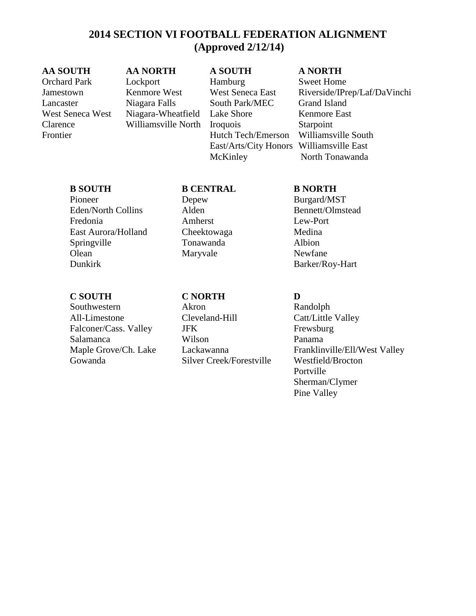# **2014 SECTION VI FOOTBALL FEDERATION ALIGNMENT (Approved 2/12/14)**

#### **AA SOUTH AA NORTH A SOUTH A NORTH**

Orchard Park Lockport Hamburg Sweet Home Lancaster Niagara Falls South Park/MEC Grand Island West Seneca West Niagara-Wheatfield Lake Shore Kenmore East Clarence Williamsville North Iroquois Starpoint Frontier Hutch Tech/Emerson Williamsville South East/Arts/City Honors Williamsville East McKinley North Tonawanda

Jamestown Kenmore West West Seneca East Riverside/IPrep/Laf/DaVinchi

Pioneer Depew Burgard/MST Eden/North Collins Alden Bennett/Olmstead Fredonia Amherst Lew-Port East Aurora/Holland Cheektowaga Medina Springville Tonawanda Albion Olean Maryvale Newfane

# **C SOUTH C NORTH D**

Southwestern Akron Randolph All-Limestone Cleveland-Hill Catt/Little Valley Falconer/Cass. Valley JFK Frewsburg Salamanca Wilson Panama Gowanda Silver Creek/Forestville Westfield/Brocton

# **B SOUTH B CENTRAL B NORTH**

Dunkirk Barker/Roy-Hart

Maple Grove/Ch. Lake Lackawanna Franklinville/Ell/West Valley Portville Sherman/Clymer Pine Valley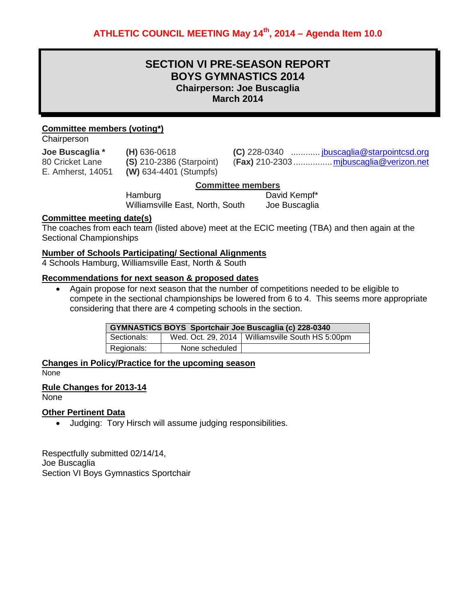# **SECTION VI PRE-SEASON REPORT BOYS GYMNASTICS 2014 Chairperson: Joe Buscaglia March 2014**

### **Committee members (voting\*)**

**Chairperson** 

**Joe Buscaglia \* (H)** 636-0618 **(C)** 228-0340 ............ [jbuscaglia@starpointcsd.org](mailto:jbuscaglia@starpointcsd.org) 80 Cricket Lane **(S)** 210-2386 (Starpoint) (**Fax)** 210-2303 ...............[.mjbuscaglia@verizon.net](mailto:mjbuscaglia@verizon.net) E. Amherst, 14051 **(W)** 634-4401 (Stumpfs)

#### **Committee members**

Hamburg David Kempf\* Williamsville East, North, South Joe Buscaglia

#### **Committee meeting date(s)**

The coaches from each team (listed above) meet at the ECIC meeting (TBA) and then again at the Sectional Championships

#### **Number of Schools Participating/ Sectional Alignments**

4 Schools Hamburg, Williamsville East, North & South

#### **Recommendations for next season & proposed dates**

• Again propose for next season that the number of competitions needed to be eligible to compete in the sectional championships be lowered from 6 to 4. This seems more appropriate considering that there are 4 competing schools in the section.

|             |                | <b>GYMNASTICS BOYS Sportchair Joe Buscaglia (c) 228-0340</b> |
|-------------|----------------|--------------------------------------------------------------|
| Sectionals: |                | Wed. Oct. 29, 2014   Williamsville South HS 5:00pm           |
| Regionals:  | None scheduled |                                                              |

**Changes in Policy/Practice for the upcoming season** None

# **Rule Changes for 2013-14**

None

#### **Other Pertinent Data**

• Judging: Tory Hirsch will assume judging responsibilities.

Respectfully submitted 02/14/14, Joe Buscaglia Section VI Boys Gymnastics Sportchair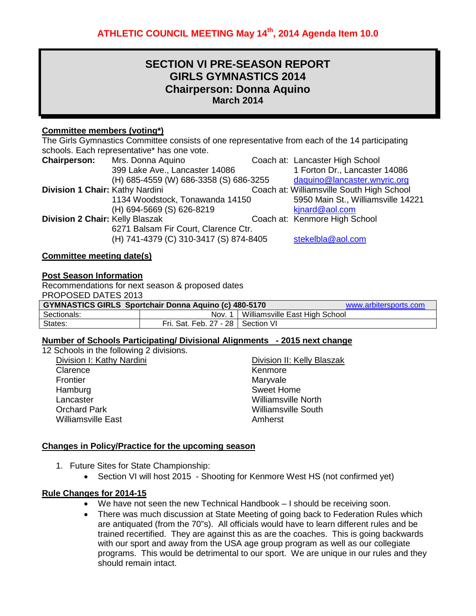# **SECTION VI PRE-SEASON REPORT GIRLS GYMNASTICS 2014 Chairperson: Donna Aquino March 2014**

# **Committee members (voting\*)**

The Girls Gymnastics Committee consists of one representative from each of the 14 participating schools. Each representative\* has one vote. **Chairperson:** Mrs. Donna Aquino **Coach at: Lancaster High School** 399 Lake Ave., Lancaster 14086 1 Forton Dr., Lancaster 14086<br>(H) 685-4559 (W) 686-3358 (S) 686-3255 daguino@lancaster.wnyric.org (H) 685-4559 (W) 686-3358 (S) 686-3255<br>Coacl **Chair:** Kathy Nardini **Coach at: Williamsville South High School**<br>5950 Main St., Williamsville 14221 1134 Woodstock, Tonawanda 14150 (H) 694-5669 (S) 626-8219 [kjnard@aol.com](mailto:kjnard@aol.com) **Division 2 Chair:** Kelly Blaszak Coach at: Kenmore High School 6271 Balsam Fir Court, Clarence Ctr. (H) 741-4379 (C) 310-3417 (S) 874-8405 [stekelbla@aol.com](mailto:stekelbla@aol.com)

# **Committee meeting date(s)**

### **Post Season Information**

| Recommendations for next season & proposed dates                                      |                                     |  |  |  |
|---------------------------------------------------------------------------------------|-------------------------------------|--|--|--|
| PROPOSED DATES 2013                                                                   |                                     |  |  |  |
| <b>GYMNASTICS GIRLS Sportchair Donna Aquino (c) 480-5170</b><br>www.arbitersports.com |                                     |  |  |  |
| Williamsville East High School<br>Sectionals:<br>Nov. 1                               |                                     |  |  |  |
| States:                                                                               | Fri. Sat. Feb. 27 - 28   Section VI |  |  |  |

#### **Number of Schools Participating/ Divisional Alignments - 2015 next change**

| 12 Schools in the following 2 divisions. |                            |
|------------------------------------------|----------------------------|
| Division I: Kathy Nardini                | Division II: Kelly Blaszak |
| Clarence                                 | Kenmore                    |
| Frontier                                 | Maryvale                   |
| Hamburg                                  | <b>Sweet Home</b>          |
| Lancaster                                | <b>Williamsville North</b> |
| <b>Orchard Park</b>                      | <b>Williamsville South</b> |
| <b>Williamsville East</b>                | Amherst                    |
|                                          |                            |

# **Changes in Policy/Practice for the upcoming season**

- 1. Future Sites for State Championship:
	- Section VI will host 2015 Shooting for Kenmore West HS (not confirmed yet)

# **Rule Changes for 2014-15**

- We have not seen the new Technical Handbook I should be receiving soon.
- There was much discussion at State Meeting of going back to Federation Rules which are antiquated (from the 70"s). All officials would have to learn different rules and be trained recertified. They are against this as are the coaches. This is going backwards with our sport and away from the USA age group program as well as our collegiate programs. This would be detrimental to our sport. We are unique in our rules and they should remain intact.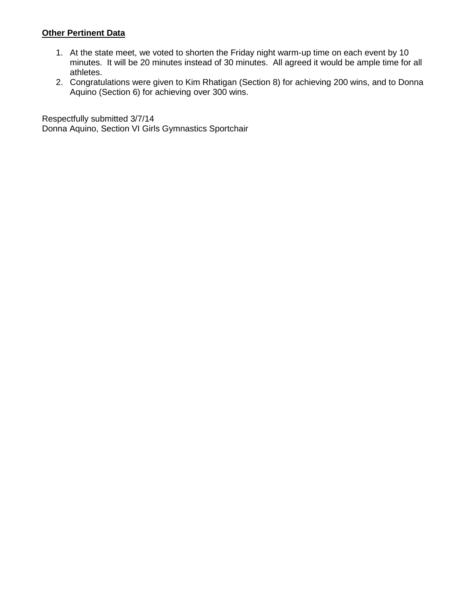# **Other Pertinent Data**

- 1. At the state meet, we voted to shorten the Friday night warm-up time on each event by 10 minutes. It will be 20 minutes instead of 30 minutes. All agreed it would be ample time for all athletes.
- 2. Congratulations were given to Kim Rhatigan (Section 8) for achieving 200 wins, and to Donna Aquino (Section 6) for achieving over 300 wins.

Respectfully submitted 3/7/14 Donna Aquino, Section VI Girls Gymnastics Sportchair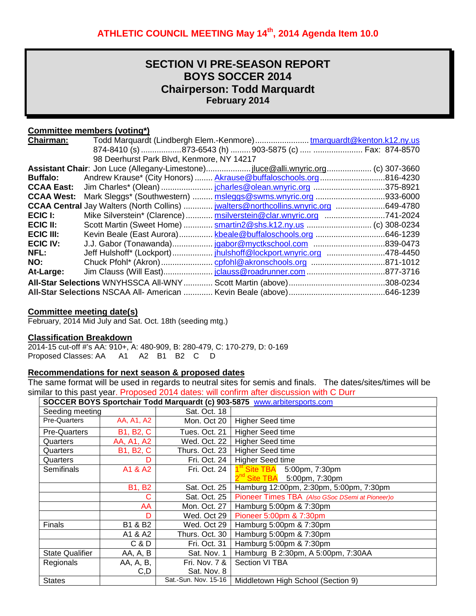# **SECTION VI PRE-SEASON REPORT BOYS SOCCER 2014 Chairperson: Todd Marquardt February 2014**

# **Committee members (voting\*)**

| <b>Chairman:</b>  | Todd Marquardt (Lindbergh Elem.-Kenmore)tmarquardt@kenton.k12.ny.us                 |           |
|-------------------|-------------------------------------------------------------------------------------|-----------|
|                   | 874-8410 (s) 873-6543 (h)  903-5875 (c)   Fax: 874-8570                             |           |
|                   | 98 Deerhurst Park Blvd, Kenmore, NY 14217                                           |           |
|                   |                                                                                     |           |
| <b>Buffalo:</b>   | Andrew Krause* (City Honors)  Akrause@buffaloschools.org 816-4230                   |           |
| <b>CCAA East:</b> |                                                                                     |           |
| <b>CCAA West:</b> | Mark Sleggs* (Southwestern)  msleggs@swms.wnyric.org 933-6000                       |           |
|                   | GCAA Central Jay Walters (North Collins)  jwalters@northcollins.wnyric.org 649-4780 |           |
| ECIC I:           | Mike Silverstein* (Clarence)  msilverstein@clar.wnyric.org 741-2024                 |           |
| ECIC II:          | Scott Martin (Sweet Home)  smartin2@shs.k12.ny.us  (c) 308-0234                     |           |
| ECIC III:         | Kevin Beale (East Aurora) kbeale@buffaloschools.org                                 | .646-1239 |
| <b>ECIC IV:</b>   | J.J. Gabor (Tonawanda)                                                              |           |
| NFL:              |                                                                                     |           |
| NO:               |                                                                                     |           |
| At-Large:         |                                                                                     | .877-3716 |
|                   |                                                                                     |           |
|                   |                                                                                     |           |

#### **Committee meeting date(s)**

February, 2014 Mid July and Sat. Oct. 18th (seeding mtg.)

#### **Classification Breakdown**

2014-15 cut-off #'s AA: 910+, A: 480-909, B: 280-479, C: 170-279, D: 0-169 Proposed Classes: AA A1 A2 B1 B2 C D

# **Recommendations for next season & proposed dates**

The same format will be used in regards to neutral sites for semis and finals. The dates/sites/times will be similar to this past year. Proposed 2014 dates: will confirm after discussion with C Durr

|                        | SOCCER BOYS Sportchair Todd Marquardt (c) 903-5875 www.arbitersports.com |                      |                                                 |
|------------------------|--------------------------------------------------------------------------|----------------------|-------------------------------------------------|
| Seeding meeting        |                                                                          | Sat. Oct. 18         |                                                 |
| <b>Pre-Quarters</b>    | AA, A1, A2                                                               | Mon. Oct 20          | <b>Higher Seed time</b>                         |
| <b>Pre-Quarters</b>    | <b>B1, B2, C</b>                                                         | Tues. Oct. 21        | <b>Higher Seed time</b>                         |
| Quarters               | AA, A1, A2                                                               | Wed. Oct. 22         | <b>Higher Seed time</b>                         |
| Quarters               | <b>B1, B2, C</b>                                                         | Thurs. Oct. 23       | <b>Higher Seed time</b>                         |
| Quarters               | D                                                                        | Fri. Oct. 24         | <b>Higher Seed time</b>                         |
| <b>Semifinals</b>      | A1 & A2                                                                  | Fri. Oct. 24         | 1 <sup>st</sup> Site TBA 5:00pm, 7:30pm         |
|                        |                                                                          |                      | $2^{nd}$ Site TBA 5:00pm, 7:30pm                |
|                        | <b>B1, B2</b>                                                            | Sat. Oct. 25         | Hamburg 12:00pm, 2:30pm, 5:00pm, 7:30pm         |
|                        | С                                                                        | Sat. Oct. 25         | Pioneer Times TBA (Also GSoc DSemi at Pioneer)o |
|                        | AA                                                                       | Mon. Oct. 27         | Hamburg 5:00pm & 7:30pm                         |
|                        | D                                                                        | Wed. Oct 29          | Pioneer 5:00pm & 7:30pm                         |
| <b>Finals</b>          | B1 & B2                                                                  | Wed. Oct 29          | Hamburg 5:00pm & 7:30pm                         |
|                        | A1 & A2                                                                  | Thurs. Oct. 30       | Hamburg 5:00pm & 7:30pm                         |
|                        | C & D                                                                    | Fri. Oct. 31         | Hamburg 5:00pm & 7:30pm                         |
| <b>State Qualifier</b> | AA, A, B                                                                 | Sat. Nov. 1          | Hamburg B 2:30pm, A 5:00pm, 7:30AA              |
| Regionals              | AA, A, B,                                                                | Fri. Nov. 7 &        | Section VI TBA                                  |
|                        | C, D                                                                     | Sat. Nov. 8          |                                                 |
| <b>States</b>          |                                                                          | Sat.-Sun. Nov. 15-16 | Middletown High School (Section 9)              |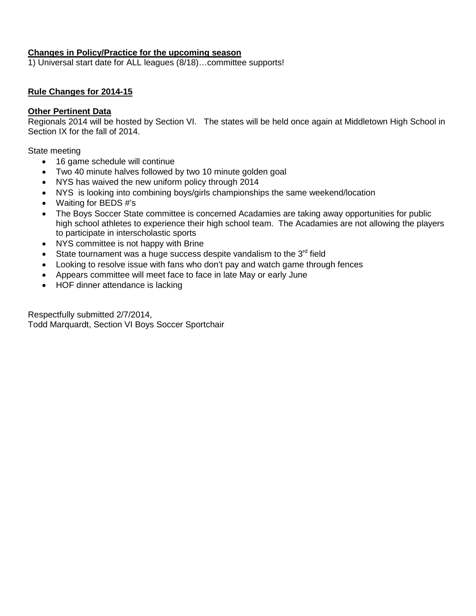# **Changes in Policy/Practice for the upcoming season**

1) Universal start date for ALL leagues (8/18)…committee supports!

# **Rule Changes for 2014-15**

### **Other Pertinent Data**

Regionals 2014 will be hosted by Section VI. The states will be held once again at Middletown High School in Section IX for the fall of 2014.

State meeting

- 16 game schedule will continue
- Two 40 minute halves followed by two 10 minute golden goal
- NYS has waived the new uniform policy through 2014
- NYS is looking into combining boys/girls championships the same weekend/location
- Waiting for BEDS #'s
- The Boys Soccer State committee is concerned Acadamies are taking away opportunities for public high school athletes to experience their high school team. The Acadamies are not allowing the players to participate in interscholastic sports
- NYS committee is not happy with Brine
- State tournament was a huge success despite vandalism to the  $3<sup>rd</sup>$  field
- Looking to resolve issue with fans who don't pay and watch game through fences
- Appears committee will meet face to face in late May or early June
- HOF dinner attendance is lacking

Respectfully submitted 2/7/2014, Todd Marquardt, Section VI Boys Soccer Sportchair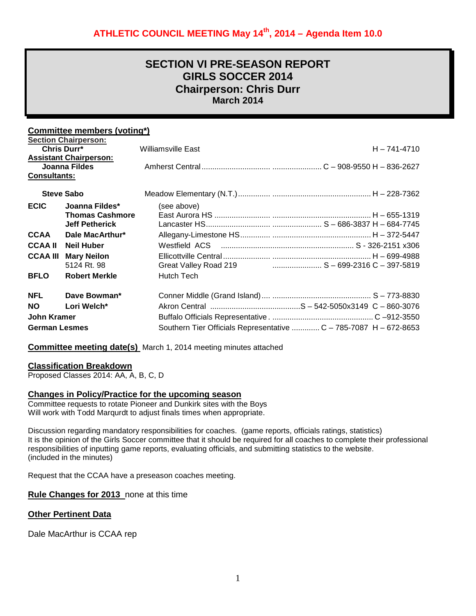# **SECTION VI PRE-SEASON REPORT GIRLS SOCCER 2014 Chairperson: Chris Durr March 2014**

# **Committee members (voting\*)**

|                      | <b>Section Chairperson:</b>   |                                                                   |  |
|----------------------|-------------------------------|-------------------------------------------------------------------|--|
| Chris Durr*          |                               | $H - 741 - 4710$<br>Williamsville East                            |  |
|                      | <b>Assistant Chairperson:</b> |                                                                   |  |
|                      | Joanna Fildes                 |                                                                   |  |
| <b>Consultants:</b>  |                               |                                                                   |  |
|                      | <b>Steve Sabo</b>             |                                                                   |  |
| <b>ECIC</b>          | Joanna Fildes*                | (see above)                                                       |  |
|                      | <b>Thomas Cashmore</b>        |                                                                   |  |
|                      | <b>Jeff Petherick</b>         |                                                                   |  |
| <b>CCAA</b>          | Dale MacArthur*               |                                                                   |  |
| <b>CCAA II</b>       | <b>Neil Huber</b>             |                                                                   |  |
| <b>CCAA III</b>      | <b>Mary Neilon</b>            |                                                                   |  |
|                      | 5124 Rt. 98                   |                                                                   |  |
| <b>BFLO</b>          | <b>Robert Merkle</b>          | Hutch Tech                                                        |  |
| <b>NFL</b>           | Dave Bowman*                  |                                                                   |  |
| <b>NO</b>            | Lori Welch*                   |                                                                   |  |
| John Kramer          |                               |                                                                   |  |
| <b>German Lesmes</b> |                               | Southern Tier Officials Representative  C - 785-7087 H - 672-8653 |  |

**Committee meeting date(s)** March 1, 2014 meeting minutes attached

#### **Classification Breakdown**

Proposed Classes 2014: AA, A, B, C, D

#### **Changes in Policy/Practice for the upcoming season**

Committee requests to rotate Pioneer and Dunkirk sites with the Boys Will work with Todd Marqurdt to adjust finals times when appropriate.

Discussion regarding mandatory responsibilities for coaches. (game reports, officials ratings, statistics) It is the opinion of the Girls Soccer committee that it should be required for all coaches to complete their professional responsibilities of inputting game reports, evaluating officials, and submitting statistics to the website. (included in the minutes)

Request that the CCAA have a preseason coaches meeting.

**Rule Changes for 2013** none at this time

#### **Other Pertinent Data**

Dale MacArthur is CCAA rep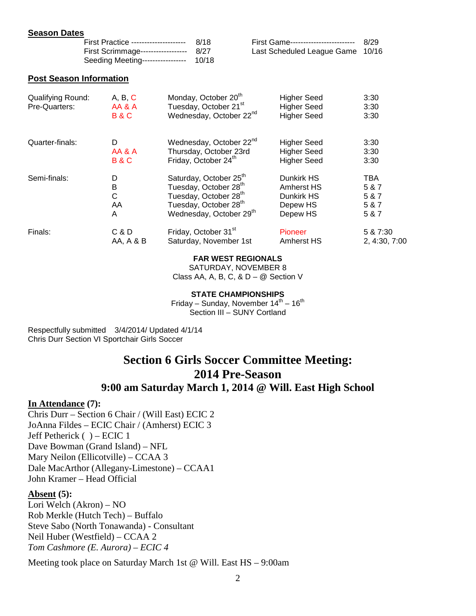#### **Season Dates**

| First Practice --------------------- 8/18 | First Game-------------------------- 8/29 |  |
|-------------------------------------------|-------------------------------------------|--|
| First Scrimmage------------------ 8/27    | Last Scheduled League Game 10/16          |  |
| Seeding Meeting----------------- 10/18    |                                           |  |

#### **Post Season Information**

| Qualifying Round:<br>Pre-Quarters: | A, B, C<br>AA & A<br><b>B&amp;C</b> | Monday, October 20 <sup>th</sup><br>Tuesday, October 21 <sup>st</sup><br>Wednesday, October 22 <sup>nd</sup> | <b>Higher Seed</b><br><b>Higher Seed</b><br><b>Higher Seed</b> | 3:30<br>3:30<br>3:30 |
|------------------------------------|-------------------------------------|--------------------------------------------------------------------------------------------------------------|----------------------------------------------------------------|----------------------|
| Quarter-finals:                    | D                                   | Wednesday, October 22 <sup>nd</sup>                                                                          | <b>Higher Seed</b>                                             | 3:30                 |
|                                    | AA & A                              | Thursday, October 23rd                                                                                       | <b>Higher Seed</b>                                             | 3:30                 |
|                                    | <b>B&amp;C</b>                      | Friday, October 24 <sup>th</sup>                                                                             | <b>Higher Seed</b>                                             | 3:30                 |
| Semi-finals:                       | D                                   | Saturday, October 25 <sup>th</sup>                                                                           | Dunkirk HS                                                     | TBA                  |
|                                    | B                                   | Tuesday, October 28 <sup>th</sup>                                                                            | Amherst HS                                                     | 5 & 7                |
|                                    | C                                   | Tuesday, October 28 <sup>th</sup>                                                                            | Dunkirk HS                                                     | 5 & 7                |
|                                    | AA                                  | Tuesday, October 28 <sup>th</sup>                                                                            | Depew HS                                                       | 5 & 7                |
|                                    | A                                   | Wednesday, October 29 <sup>th</sup>                                                                          | Depew HS                                                       | 5 & 7                |
| Finals:                            | C & D                               | Friday, October 31 <sup>st</sup>                                                                             | Pioneer                                                        | 5 & 7:30             |
|                                    | AA, A & B                           | Saturday, November 1st                                                                                       | <b>Amherst HS</b>                                              | 2, 4:30, 7:00        |

#### **FAR WEST REGIONALS**

SATURDAY, NOVEMBER 8 Class AA, A, B, C, &  $D - \omega$  Section V

#### **STATE CHAMPIONSHIPS**

Friday – Sunday, November  $14^{th}$  –  $16^{th}$ Section III - SUNY Cortland

Respectfully submitted 3/4/2014/ Updated 4/1/14 Chris Durr Section VI Sportchair Girls Soccer

# **Section 6 Girls Soccer Committee Meeting: 2014 Pre-Season**

# **9:00 am Saturday March 1, 2014 @ Will. East High School**

#### **In Attendance (7):**

Chris Durr – Section 6 Chair / (Will East) ECIC 2 JoAnna Fildes – ECIC Chair / (Amherst) ECIC 3 Jeff Petherick ( ) – ECIC 1 Dave Bowman (Grand Island) – NFL Mary Neilon (Ellicotville) – CCAA 3 Dale MacArthor (Allegany-Limestone) – CCAA1 John Kramer – Head Official

# **Absent (5):**

Lori Welch (Akron) – NO Rob Merkle (Hutch Tech) – Buffalo Steve Sabo (North Tonawanda) - Consultant Neil Huber (Westfield) – CCAA 2 *Tom Cashmore (E. Aurora) – ECIC 4*

Meeting took place on Saturday March 1st @ Will. East HS – 9:00am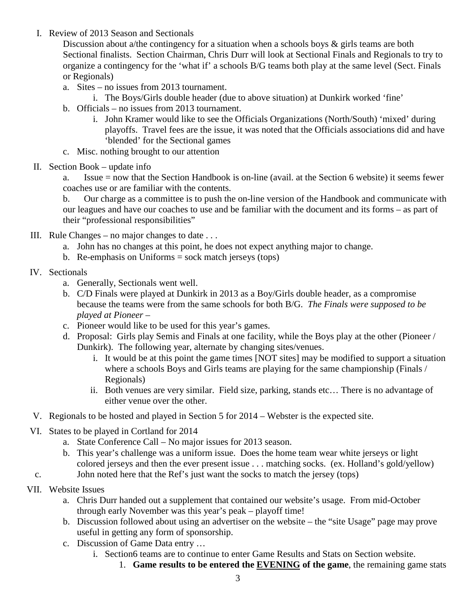I. Review of 2013 Season and Sectionals

Discussion about a/the contingency for a situation when a schools boys & girls teams are both Sectional finalists. Section Chairman, Chris Durr will look at Sectional Finals and Regionals to try to organize a contingency for the 'what if' a schools B/G teams both play at the same level (Sect. Finals or Regionals)

- a. Sites no issues from 2013 tournament.
	- i. The Boys/Girls double header (due to above situation) at Dunkirk worked 'fine'
- b. Officials no issues from 2013 tournament.
	- i. John Kramer would like to see the Officials Organizations (North/South) 'mixed' during playoffs. Travel fees are the issue, it was noted that the Officials associations did and have 'blended' for the Sectional games
- c. Misc. nothing brought to our attention
- II. Section Book update info

a. Issue = now that the Section Handbook is on-line (avail. at the Section 6 website) it seems fewer coaches use or are familiar with the contents.

b. Our charge as a committee is to push the on-line version of the Handbook and communicate with our leagues and have our coaches to use and be familiar with the document and its forms – as part of their "professional responsibilities"

- III. Rule Changes no major changes to date  $\dots$ 
	- a. John has no changes at this point, he does not expect anything major to change.
	- b. Re-emphasis on Uniforms  $=$  sock match jerseys (tops)
- IV. Sectionals
	- a. Generally, Sectionals went well.
	- b. C/D Finals were played at Dunkirk in 2013 as a Boy/Girls double header, as a compromise because the teams were from the same schools for both B/G. *The Finals were supposed to be played at Pioneer –*
	- c. Pioneer would like to be used for this year's games.
	- d. Proposal: Girls play Semis and Finals at one facility, while the Boys play at the other (Pioneer / Dunkirk). The following year, alternate by changing sites/venues.
		- i. It would be at this point the game times [NOT sites] may be modified to support a situation where a schools Boys and Girls teams are playing for the same championship (Finals / Regionals)
		- ii. Both venues are very similar. Field size, parking, stands etc… There is no advantage of either venue over the other.
- V. Regionals to be hosted and played in Section 5 for 2014 Webster is the expected site.
- VI. States to be played in Cortland for 2014
	- a. State Conference Call No major issues for 2013 season.
	- b. This year's challenge was a uniform issue. Does the home team wear white jerseys or light colored jerseys and then the ever present issue . . . matching socks. (ex. Holland's gold/yellow)
- c. John noted here that the Ref's just want the socks to match the jersey (tops)
- VII. Website Issues
	- a. Chris Durr handed out a supplement that contained our website's usage. From mid-October through early November was this year's peak – playoff time!
	- b. Discussion followed about using an advertiser on the website the "site Usage" page may prove useful in getting any form of sponsorship.
	- c. Discussion of Game Data entry …
		- i. Section6 teams are to continue to enter Game Results and Stats on Section website.
			- 1. **Game results to be entered the EVENING of the game**, the remaining game stats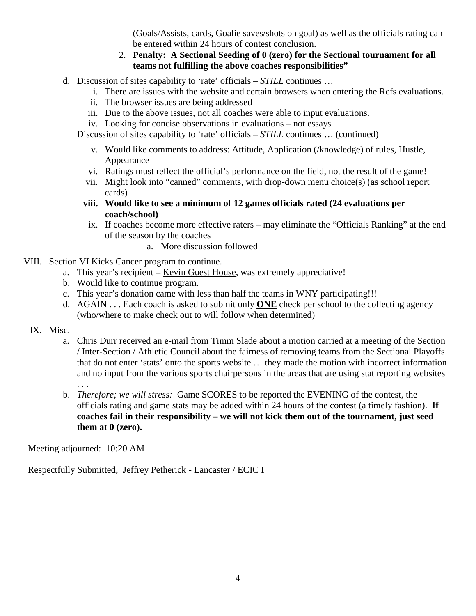(Goals/Assists, cards, Goalie saves/shots on goal) as well as the officials rating can be entered within 24 hours of contest conclusion.

# 2. **Penalty: A Sectional Seeding of 0 (zero) for the Sectional tournament for all teams not fulfilling the above coaches responsibilities"**

- d. Discussion of sites capability to 'rate' officials *STILL* continues …
	- i. There are issues with the website and certain browsers when entering the Refs evaluations.
	- ii. The browser issues are being addressed
	- iii. Due to the above issues, not all coaches were able to input evaluations.
	- iv. Looking for concise observations in evaluations not essays

Discussion of sites capability to 'rate' officials – *STILL* continues ... (continued)

- v. Would like comments to address: Attitude, Application (/knowledge) of rules, Hustle, Appearance
- vi. Ratings must reflect the official's performance on the field, not the result of the game!
- vii. Might look into "canned" comments, with drop-down menu choice(s) (as school report cards)
- **viii. Would like to see a minimum of 12 games officials rated (24 evaluations per coach/school)**
- ix. If coaches become more effective raters may eliminate the "Officials Ranking" at the end of the season by the coaches
	- a. More discussion followed
- VIII. Section VI Kicks Cancer program to continue.
	- a. This year's recipient Kevin Guest House, was extremely appreciative!
	- b. Would like to continue program.
	- c. This year's donation came with less than half the teams in WNY participating!!!
	- d. AGAIN . . . Each coach is asked to submit only **ONE** check per school to the collecting agency (who/where to make check out to will follow when determined)
- IX. Misc.
	- a. Chris Durr received an e-mail from Timm Slade about a motion carried at a meeting of the Section / Inter-Section / Athletic Council about the fairness of removing teams from the Sectional Playoffs that do not enter 'stats' onto the sports website … they made the motion with incorrect information and no input from the various sports chairpersons in the areas that are using stat reporting websites
	- b. *Therefore; we will stress:* Game SCORES to be reported the EVENING of the contest, the officials rating and game stats may be added within 24 hours of the contest (a timely fashion). **If coaches fail in their responsibility – we will not kick them out of the tournament, just seed them at 0 (zero).**

Meeting adjourned: 10:20 AM

. . .

Respectfully Submitted, Jeffrey Petherick - Lancaster / ECIC I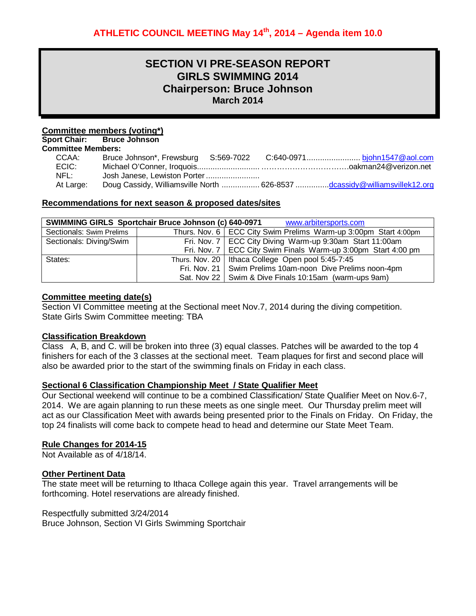# **SECTION VI PRE-SEASON REPORT GIRLS SWIMMING 2014 Chairperson: Bruce Johnson March 2014**

#### **Committee members (voting\*)**

**Sport Chair: Bruce Johnson** 

#### **Committee Members:**

| CCAA:     |  |                                                                           |
|-----------|--|---------------------------------------------------------------------------|
| ECIC:     |  |                                                                           |
| NFL:      |  |                                                                           |
| At Large: |  | Doug Cassidy, Williamsville North  626-8537 dcassidy@williamsvillek12.org |

#### **Recommendations for next season & proposed dates/sites**

| <b>SWIMMING GIRLS Sportchair Bruce Johnson (c) 640-0971</b><br>www.arbitersports.com |  |                                                                   |  |  |
|--------------------------------------------------------------------------------------|--|-------------------------------------------------------------------|--|--|
| Sectionals: Swim Prelims                                                             |  | Thurs. Nov. 6   ECC City Swim Prelims Warm-up 3:00pm Start 4:00pm |  |  |
| Sectionals: Diving/Swim                                                              |  | Fri. Nov. 7   ECC City Diving Warm-up 9:30am Start 11:00am        |  |  |
|                                                                                      |  | Fri. Nov. 7   ECC City Swim Finals Warm-up 3:00pm Start 4:00 pm   |  |  |
| States:                                                                              |  | Thurs. Nov. 20   Ithaca College Open pool 5:45-7:45               |  |  |
|                                                                                      |  | Fri. Nov. 21   Swim Prelims 10am-noon Dive Prelims noon-4pm       |  |  |
|                                                                                      |  | Sat. Nov 22   Swim & Dive Finals 10:15am (warm-ups 9am)           |  |  |

#### **Committee meeting date(s)**

Section VI Committee meeting at the Sectional meet Nov.7, 2014 during the diving competition. State Girls Swim Committee meeting: TBA

#### **Classification Breakdown**

Class A, B, and C. will be broken into three (3) equal classes. Patches will be awarded to the top 4 finishers for each of the 3 classes at the sectional meet. Team plaques for first and second place will also be awarded prior to the start of the swimming finals on Friday in each class.

# **Sectional 6 Classification Championship Meet / State Qualifier Meet**

Our Sectional weekend will continue to be a combined Classification/ State Qualifier Meet on Nov.6-7, 2014. We are again planning to run these meets as one single meet. Our Thursday prelim meet will act as our Classification Meet with awards being presented prior to the Finals on Friday. On Friday, the top 24 finalists will come back to compete head to head and determine our State Meet Team.

#### **Rule Changes for 2014-15**

Not Available as of 4/18/14.

# **Other Pertinent Data**

The state meet will be returning to Ithaca College again this year. Travel arrangements will be forthcoming. Hotel reservations are already finished.

Respectfully submitted 3/24/2014

Bruce Johnson, Section VI Girls Swimming Sportchair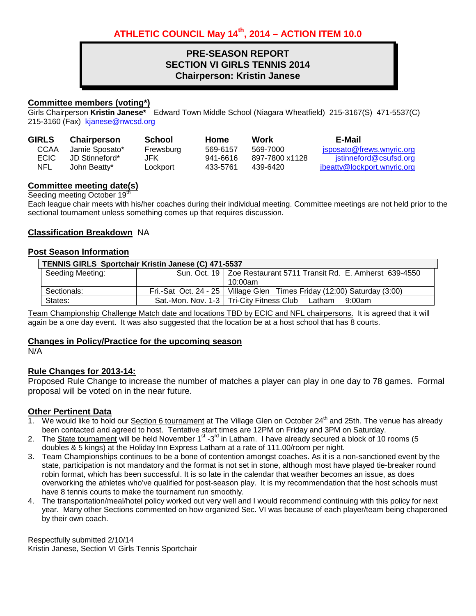# **PRE-SEASON REPORT SECTION VI GIRLS TENNIS 2014 Chairperson: Kristin Janese**

# **Committee members (voting\*)**

Girls Chairperson **Kristin Janese\*** Edward Town Middle School (Niagara Wheatfield) 215-3167(S) 471-5537(C) 215-3160 (Fax) [kjanese@nwcsd.org](mailto:kjanese@nwcsd.org)

| <b>GIRLS</b> | <b>Chairperson</b> | School    | Home     | Work           | E-Mail                      |
|--------------|--------------------|-----------|----------|----------------|-----------------------------|
| <b>CCAA</b>  | Jamie Sposato*     | Frewsburg | 569-6157 | 569-7000       | jsposato@frews.wnyric.org   |
| <b>ECIC</b>  | JD Stinneford*     | JFK       | 941-6616 | 897-7800 x1128 | istinneford@csufsd.org      |
| NFL          | John Beatty*       | Lockport  | 433-5761 | 439-6420       | jbeatty@lockport.wnyric.org |

# **Committee meeting date(s)**

Seeding meeting October 19<sup>th</sup>

Each league chair meets with his/her coaches during their individual meeting. Committee meetings are not held prior to the sectional tournament unless something comes up that requires discussion.

# **Classification Breakdown** NA

#### **Post Season Information**

| TENNIS GIRLS Sportchair Kristin Janese (C) 471-5537 |  |                                                                           |  |  |
|-----------------------------------------------------|--|---------------------------------------------------------------------------|--|--|
| Seeding Meeting:                                    |  | Sun. Oct. 19   Zoe Restaurant 5711 Transit Rd. E. Amherst 639-4550        |  |  |
|                                                     |  | $10:00$ am                                                                |  |  |
| Sectionals:                                         |  | Fri.-Sat Oct. 24 - 25   Village Glen Times Friday (12:00) Saturday (3:00) |  |  |
| States:                                             |  | Sat.-Mon. Nov. 1-3   Tri-City Fitness Club Latham 9:00am                  |  |  |

Team Championship Challenge Match date and locations TBD by ECIC and NFL chairpersons. It is agreed that it will again be a one day event. It was also suggested that the location be at a host school that has 8 courts.

#### **Changes in Policy/Practice for the upcoming season**

N/A

# **Rule Changes for 2013-14:**

Proposed Rule Change to increase the number of matches a player can play in one day to 78 games. Formal proposal will be voted on in the near future.

#### **Other Pertinent Data**

- 1. We would like to hold our Section 6 tournament at The Village Glen on October 24<sup>th</sup> and 25th. The venue has already been contacted and agreed to host. Tentative start times are 12PM on Friday and 3PM on Saturday.
- 2. The State tournament will be held November  $1^{st}$  -3<sup>rd</sup> in Latham. I have already secured a block of 10 rooms (5 doubles & 5 kings) at the Holiday Inn Express Latham at a rate of 111.00/room per night.
- 3. Team Championships continues to be a bone of contention amongst coaches. As it is a non-sanctioned event by the state, participation is not mandatory and the format is not set in stone, although most have played tie-breaker round robin format, which has been successful. It is so late in the calendar that weather becomes an issue, as does overworking the athletes who've qualified for post-season play. It is my recommendation that the host schools must have 8 tennis courts to make the tournament run smoothly.
- 4. The transportation/meal/hotel policy worked out very well and I would recommend continuing with this policy for next year. Many other Sections commented on how organized Sec. VI was because of each player/team being chaperoned by their own coach.

Respectfully submitted 2/10/14 Kristin Janese, Section VI Girls Tennis Sportchair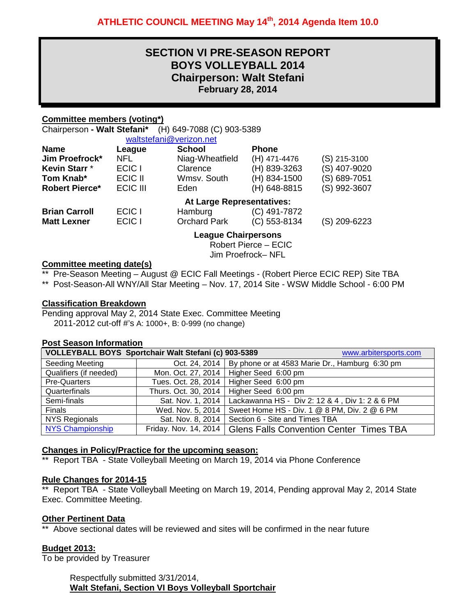# **SECTION VI PRE-SEASON REPORT BOYS VOLLEYBALL 2014 Chairperson: Walt Stefani February 28, 2014**

# **Committee members (voting\*)**

Chairperson **- Walt Stefani\*** (H) 649-7088 (C) 903-5389

|                       |                   | waltstefani@verizon.net   |                |                |
|-----------------------|-------------------|---------------------------|----------------|----------------|
| <b>Name</b>           | League            | <b>School</b>             | <b>Phone</b>   |                |
| Jim Proefrock*        | NFL               | Niag-Wheatfield           | (H) 471-4476   | $(S)$ 215-3100 |
| Kevin Starr *         | ECIC I            | Clarence                  | (H) 839-3263   | (S) 407-9020   |
| Tom Knab*             | ECIC II           | Wmsv. South               | (H) 834-1500   | (S) 689-7051   |
| <b>Robert Pierce*</b> | ECIC III          | Eden                      | (H) 648-8815   | (S) 992-3607   |
|                       |                   | At Large Representatives: |                |                |
| <b>Brian Carroll</b>  | ECIC <sub>I</sub> | Hamburg                   | $(C)$ 491-7872 |                |
| <b>Matt Lexner</b>    | ECIC I            | <b>Orchard Park</b>       | $(C)$ 553-8134 | (S) 209-6223   |
|                       |                   | Logaus Chairpersons       |                |                |

**League Chairpersons**

Robert Pierce – ECIC Jim Proefrock– NFL

### **Committee meeting date(s)**

\*\* Pre-Season Meeting – August @ ECIC Fall Meetings - (Robert Pierce ECIC REP) Site TBA

\*\* Post-Season-All WNY/All Star Meeting – Nov. 17, 2014 Site - WSW Middle School - 6:00 PM

# **Classification Breakdown**

Pending approval May 2, 2014 State Exec. Committee Meeting 2011-2012 cut-off #'s A: 1000+, B: 0-999 (no change)

#### **Post Season Information**

| VOLLEYBALL BOYS Sportchair Walt Stefani (c) 903-5389<br>www.arbitersports.com |                       |                                                                |  |  |
|-------------------------------------------------------------------------------|-----------------------|----------------------------------------------------------------|--|--|
| <b>Seeding Meeting</b>                                                        |                       | Oct. 24, 2014   By phone or at 4583 Marie Dr., Hamburg 6:30 pm |  |  |
| Qualifiers (if needed)                                                        |                       | Mon. Oct. 27, 2014   Higher Seed 6:00 pm                       |  |  |
| <b>Pre-Quarters</b>                                                           | Tues. Oct. 28, 2014   | Higher Seed 6:00 pm                                            |  |  |
| Quarterfinals                                                                 | Thurs. Oct. 30, 2014  | Higher Seed 6:00 pm                                            |  |  |
| Semi-finals                                                                   | Sat. Nov. 1, 2014     | Lackawanna HS - Div 2: 12 & 4, Div 1: 2 & 6 PM                 |  |  |
| Finals                                                                        | Wed. Nov. 5, 2014     | Sweet Home HS - Div. 1 @ 8 PM, Div. 2 @ 6 PM                   |  |  |
| <b>NYS Regionals</b>                                                          | Sat. Nov. 8, 2014     | Section 6 - Site and Times TBA                                 |  |  |
| <b>NYS Championship</b>                                                       | Friday. Nov. 14, 2014 | <b>Glens Falls Convention Center Times TBA</b>                 |  |  |

#### **Changes in Policy/Practice for the upcoming season:**

\*\* Report TBA - State Volleyball Meeting on March 19, 2014 via Phone Conference

# **Rule Changes for 2014-15**

\*\* Report TBA - State Volleyball Meeting on March 19, 2014, Pending approval May 2, 2014 State Exec. Committee Meeting.

# **Other Pertinent Data**

\*\* Above sectional dates will be reviewed and sites will be confirmed in the near future

# **Budget 2013:**

To be provided by Treasurer

Respectfully submitted 3/31/2014, **Walt Stefani, Section VI Boys Volleyball Sportchair**